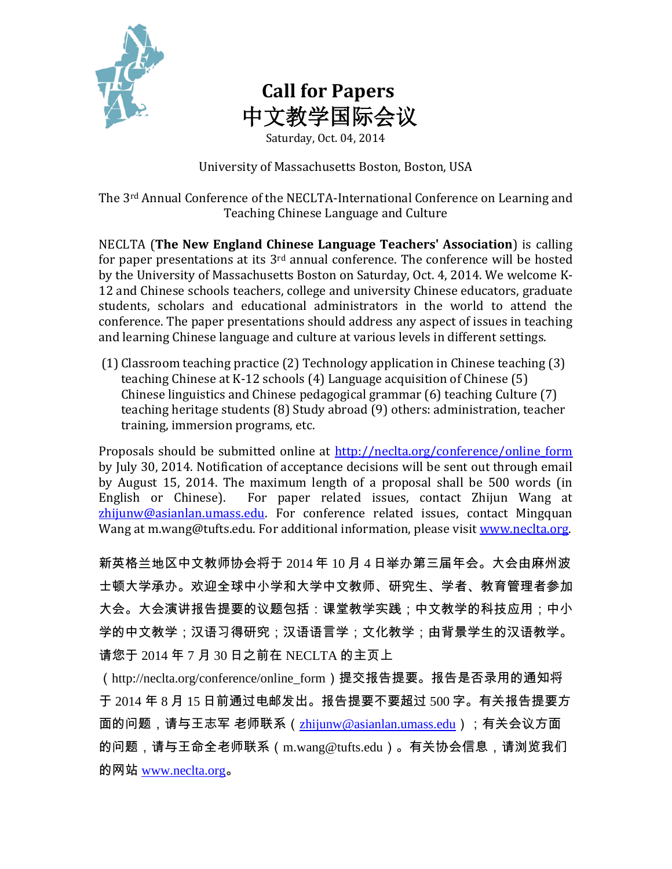

## **Call for Papers** 中文教学国际会议

Saturday, Oct. 04, 2014

University of Massachusetts Boston, Boston, USA

The 3rd Annual Conference of the NECLTA-International Conference on Learning and Teaching Chinese Language and Culture

NECLTA (**The New England Chinese Language Teachers' Association**) is calling for paper presentations at its  $3<sup>rd</sup>$  annual conference. The conference will be hosted by the University of Massachusetts Boston on Saturday, Oct. 4, 2014. We welcome K-12 and Chinese schools teachers, college and university Chinese educators, graduate students, scholars and educational administrators in the world to attend the conference. The paper presentations should address any aspect of issues in teaching and learning Chinese language and culture at various levels in different settings.

(1) Classroom teaching practice (2) Technology application in Chinese teaching (3) teaching Chinese at K-12 schools (4) Language acquisition of Chinese (5) Chinese linguistics and Chinese pedagogical grammar (6) teaching Culture (7) teaching heritage students (8) Study abroad (9) others: administration, teacher training, immersion programs, etc.

Proposals should be submitted online at http://neclta.org/conference/online form by July 30, 2014. Notification of acceptance decisions will be sent out through email by August 15, 2014. The maximum length of a proposal shall be 500 words (in English or Chinese). For paper related issues, contact Zhijun Wang at [zhijunw@asianlan.umass.edu.](mailto:zhijunw@asianlan.umass.edu) For conference related issues, contact Mingquan Wang at m.wang@tufts.edu. For additional information, please visit www.neclta.org.

新英格兰地区中文教师协会将于 2014 年 10 月 4 日举办第三届年会。大会由麻州波 士顿大学承办。欢迎全球中小学和大学中文教师、研究生、学者、教育管理者参加 大会。大会演讲报告提要的议题包括:课堂教学实践;中文教学的科技应用;中小 学的中文教学;汉语习得研究;汉语语言学;文化教学;由背景学生的汉语教学。 请您于 2014 年 7 月 30 日之前在 NECLTA 的主页上

(http://neclta.org/conference/online\_form)提交报告提要。报告是否录用的通知将 于 2014 年 8 月 15 日前通过电邮发出。报告提要不要超过 500 字。有关报告提要方 面的问题,请与王志军 老师联系([zhijunw@asianlan.umass.edu](mailto:zhijunw@asianlan.umass.edu));有关会议方面 的问题,请与王命全老师联系(m.wang@tufts.edu)。有关协会信息,请浏览我们 的网站 [www.neclta.org](http://www.neclta.org/)。